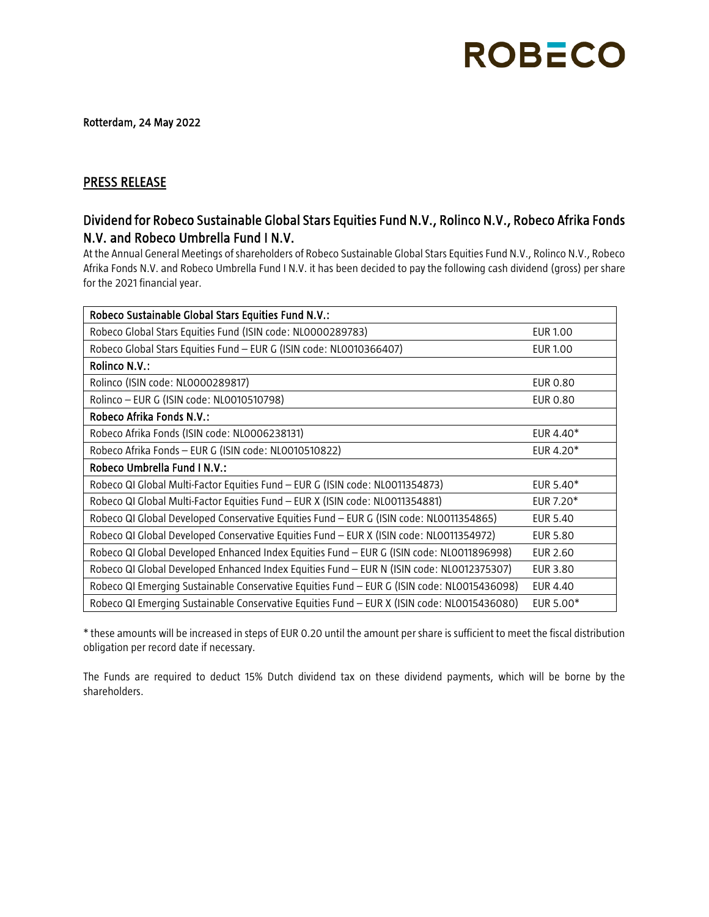## **ROBECO**

Rotterdam, 24 May 2022

## PRESS RELEASE

## Dividend for Robeco Sustainable Global Stars Equities Fund N.V., Rolinco N.V., Robeco Afrika Fonds N.V. and Robeco Umbrella Fund I N.V.

At the Annual General Meetings of shareholders of Robeco Sustainable Global Stars Equities Fund N.V., Rolinco N.V., Robeco Afrika Fonds N.V. and Robeco Umbrella Fund I N.V. it has been decided to pay the following cash dividend (gross) per share for the 2021 financial year.

| Robeco Sustainable Global Stars Equities Fund N.V.:                                         |                       |
|---------------------------------------------------------------------------------------------|-----------------------|
| Robeco Global Stars Equities Fund (ISIN code: NL0000289783)                                 | <b>EUR 1.00</b>       |
| Robeco Global Stars Equities Fund - EUR G (ISIN code: NL0010366407)                         | <b>EUR 1.00</b>       |
| Rolinco N.V.:                                                                               |                       |
| Rolinco (ISIN code: NL0000289817)                                                           | <b>EUR 0.80</b>       |
| Rolinco - EUR G (ISIN code: NL0010510798)                                                   | <b>EUR 0.80</b>       |
| Robeco Afrika Fonds N.V.:                                                                   |                       |
| Robeco Afrika Fonds (ISIN code: NL0006238131)                                               | EUR 4.40*             |
| Robeco Afrika Fonds - EUR G (ISIN code: NL0010510822)                                       | EUR 4.20*             |
| Robeco Umbrella Fund I N.V.:                                                                |                       |
| Robeco QI Global Multi-Factor Equities Fund - EUR G (ISIN code: NL0011354873)               | EUR 5.40 <sup>*</sup> |
| Robeco QI Global Multi-Factor Equities Fund - EUR X (ISIN code: NL0011354881)               | EUR 7.20*             |
| Robeco QI Global Developed Conservative Equities Fund - EUR G (ISIN code: NL0011354865)     | <b>EUR 5.40</b>       |
| Robeco QI Global Developed Conservative Equities Fund - EUR X (ISIN code: NL0011354972)     | <b>EUR 5.80</b>       |
| Robeco QI Global Developed Enhanced Index Equities Fund - EUR G (ISIN code: NL0011896998)   | EUR 2.60              |
| Robeco QI Global Developed Enhanced Index Equities Fund - EUR N (ISIN code: NL0012375307)   | <b>EUR 3.80</b>       |
| Robeco QI Emerging Sustainable Conservative Equities Fund - EUR G (ISIN code: NL0015436098) | EUR 4.40              |
| Robeco QI Emerging Sustainable Conservative Equities Fund - EUR X (ISIN code: NL0015436080) | EUR 5.00*             |

\* these amounts will be increased in steps of EUR 0.20 until the amount per share is sufficient to meet the fiscal distribution obligation per record date if necessary.

The Funds are required to deduct 15% Dutch dividend tax on these dividend payments, which will be borne by the shareholders.